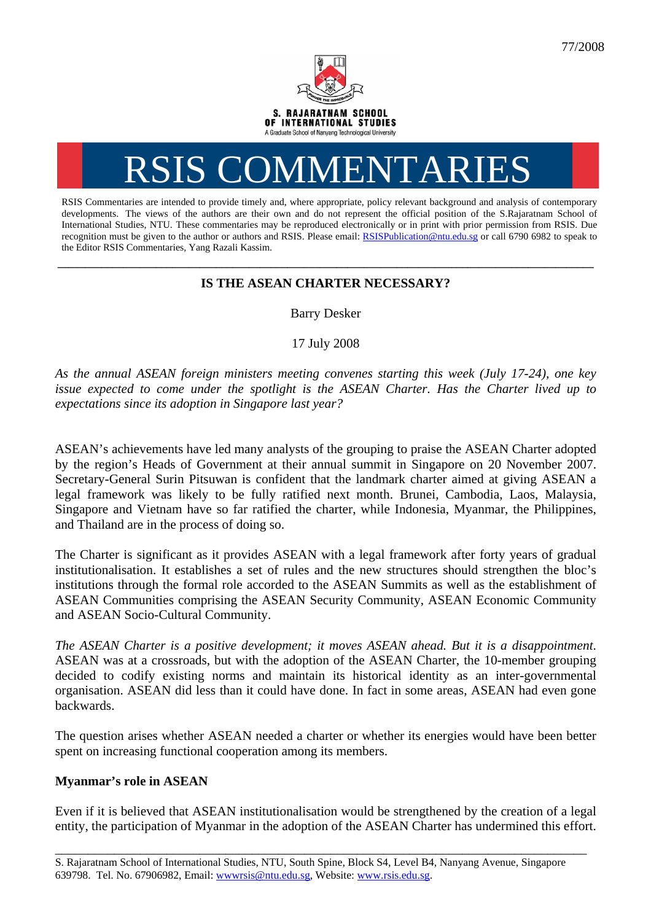

# RSIS COMMENTARIES

RSIS Commentaries are intended to provide timely and, where appropriate, policy relevant background and analysis of contemporary developments. The views of the authors are their own and do not represent the official position of the S.Rajaratnam School of International Studies, NTU. These commentaries may be reproduced electronically or in print with prior permission from RSIS. Due recognition must be given to the author or authors and RSIS. Please email: [RSISPublication@ntu.edu.sg](mailto:RSISPublication@ntu.edu.sg) or call 6790 6982 to speak to the Editor RSIS Commentaries, Yang Razali Kassim.

## **\_\_\_\_\_\_\_\_\_\_\_\_\_\_\_\_\_\_\_\_\_\_\_\_\_\_\_\_\_\_\_\_\_\_\_\_\_\_\_\_\_\_\_\_\_\_\_\_\_\_\_\_\_\_\_\_\_\_\_\_\_\_\_\_\_\_\_\_\_\_\_\_\_\_\_\_\_\_\_\_\_\_\_\_\_\_\_\_\_\_\_\_\_\_\_\_\_\_ IS THE ASEAN CHARTER NECESSARY?**

Barry Desker

17 July 2008

*As the annual ASEAN foreign ministers meeting convenes starting this week (July 17-24), one key issue expected to come under the spotlight is the ASEAN Charter. Has the Charter lived up to expectations since its adoption in Singapore last year?* 

ASEAN's achievements have led many analysts of the grouping to praise the ASEAN Charter adopted by the region's Heads of Government at their annual summit in Singapore on 20 November 2007. Secretary-General Surin Pitsuwan is confident that the landmark charter aimed at giving ASEAN a legal framework was likely to be fully ratified next month. Brunei, Cambodia, Laos, Malaysia, Singapore and Vietnam have so far ratified the charter, while Indonesia, Myanmar, the Philippines, and Thailand are in the process of doing so.

The Charter is significant as it provides ASEAN with a legal framework after forty years of gradual institutionalisation. It establishes a set of rules and the new structures should strengthen the bloc's institutions through the formal role accorded to the ASEAN Summits as well as the establishment of ASEAN Communities comprising the ASEAN Security Community, ASEAN Economic Community and ASEAN Socio-Cultural Community.

*The ASEAN Charter is a positive development; it moves ASEAN ahead. But it is a disappointment*. ASEAN was at a crossroads, but with the adoption of the ASEAN Charter, the 10-member grouping decided to codify existing norms and maintain its historical identity as an inter-governmental organisation. ASEAN did less than it could have done. In fact in some areas, ASEAN had even gone backwards.

The question arises whether ASEAN needed a charter or whether its energies would have been better spent on increasing functional cooperation among its members.

### **Myanmar's role in ASEAN**

Even if it is believed that ASEAN institutionalisation would be strengthened by the creation of a legal entity, the participation of Myanmar in the adoption of the ASEAN Charter has undermined this effort.

\_\_\_\_\_\_\_\_\_\_\_\_\_\_\_\_\_\_\_\_\_\_\_\_\_\_\_\_\_\_\_\_\_\_\_\_\_\_\_\_\_\_\_\_\_\_\_\_\_\_\_\_\_\_\_\_\_\_\_\_\_\_\_\_\_\_\_\_\_\_\_\_\_\_\_\_\_\_\_\_\_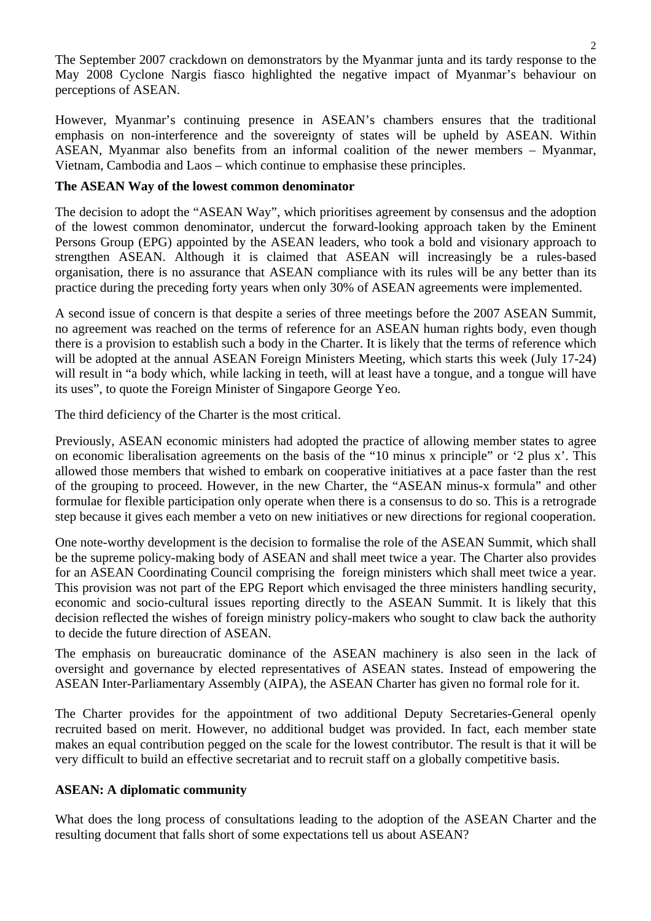The September 2007 crackdown on demonstrators by the Myanmar junta and its tardy response to the May 2008 Cyclone Nargis fiasco highlighted the negative impact of Myanmar's behaviour on perceptions of ASEAN.

However, Myanmar's continuing presence in ASEAN's chambers ensures that the traditional emphasis on non-interference and the sovereignty of states will be upheld by ASEAN. Within ASEAN, Myanmar also benefits from an informal coalition of the newer members – Myanmar, Vietnam, Cambodia and Laos – which continue to emphasise these principles.

#### **The ASEAN Way of the lowest common denominator**

The decision to adopt the "ASEAN Way", which prioritises agreement by consensus and the adoption of the lowest common denominator, undercut the forward-looking approach taken by the Eminent Persons Group (EPG) appointed by the ASEAN leaders, who took a bold and visionary approach to strengthen ASEAN. Although it is claimed that ASEAN will increasingly be a rules-based organisation, there is no assurance that ASEAN compliance with its rules will be any better than its practice during the preceding forty years when only 30% of ASEAN agreements were implemented.

A second issue of concern is that despite a series of three meetings before the 2007 ASEAN Summit, no agreement was reached on the terms of reference for an ASEAN human rights body, even though there is a provision to establish such a body in the Charter. It is likely that the terms of reference which will be adopted at the annual ASEAN Foreign Ministers Meeting, which starts this week (July 17-24) will result in "a body which, while lacking in teeth, will at least have a tongue, and a tongue will have its uses", to quote the Foreign Minister of Singapore George Yeo.

The third deficiency of the Charter is the most critical.

Previously, ASEAN economic ministers had adopted the practice of allowing member states to agree on economic liberalisation agreements on the basis of the "10 minus x principle" or '2 plus x'. This allowed those members that wished to embark on cooperative initiatives at a pace faster than the rest of the grouping to proceed. However, in the new Charter, the "ASEAN minus-x formula" and other formulae for flexible participation only operate when there is a consensus to do so. This is a retrograde step because it gives each member a veto on new initiatives or new directions for regional cooperation.

One note-worthy development is the decision to formalise the role of the ASEAN Summit, which shall be the supreme policy-making body of ASEAN and shall meet twice a year. The Charter also provides for an ASEAN Coordinating Council comprising the foreign ministers which shall meet twice a year. This provision was not part of the EPG Report which envisaged the three ministers handling security, economic and socio-cultural issues reporting directly to the ASEAN Summit. It is likely that this decision reflected the wishes of foreign ministry policy-makers who sought to claw back the authority to decide the future direction of ASEAN.

The emphasis on bureaucratic dominance of the ASEAN machinery is also seen in the lack of oversight and governance by elected representatives of ASEAN states. Instead of empowering the ASEAN Inter-Parliamentary Assembly (AIPA), the ASEAN Charter has given no formal role for it.

The Charter provides for the appointment of two additional Deputy Secretaries-General openly recruited based on merit. However, no additional budget was provided. In fact, each member state makes an equal contribution pegged on the scale for the lowest contributor. The result is that it will be very difficult to build an effective secretariat and to recruit staff on a globally competitive basis.

#### **ASEAN: A diplomatic community**

What does the long process of consultations leading to the adoption of the ASEAN Charter and the resulting document that falls short of some expectations tell us about ASEAN?